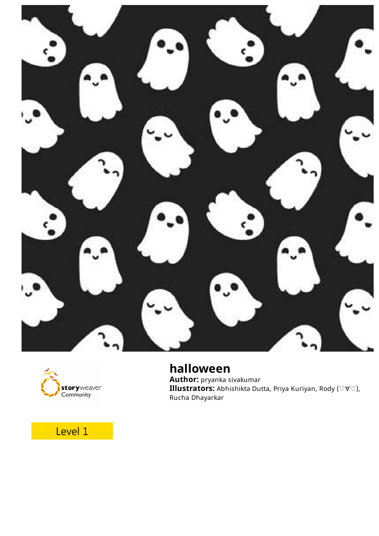



## **halloween**

**Author:** pryanka sivakumar **Illustrators:** Abhishikta Dutta, Priya Kuriyan, Rody (♡∀♡), Rucha Dhayarkar

## Level 1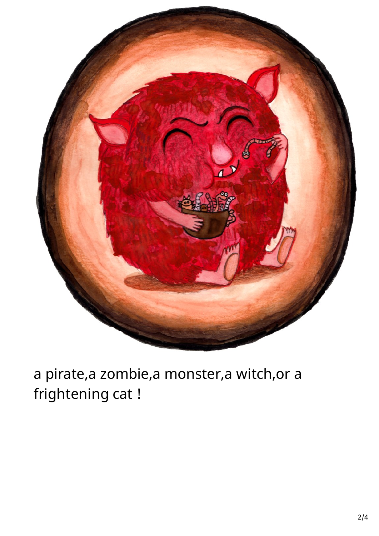

# a pirate,a zombie,a monster,a witch,or a frightening cat !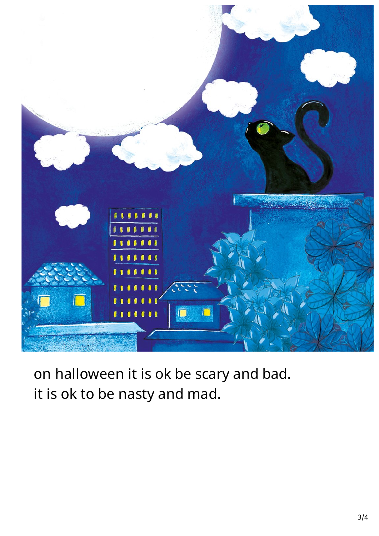

on halloween it is ok be scary and bad. it is ok to be nasty and mad.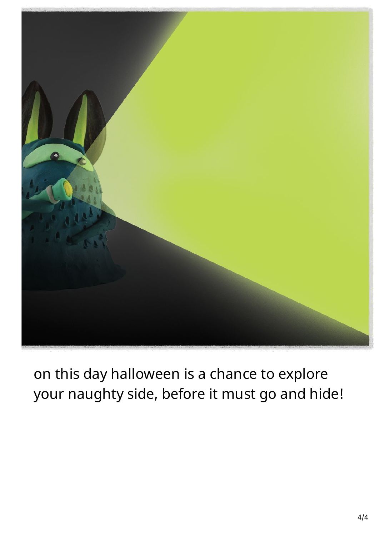

on this day halloween is a chance to explore your naughty side, before it must go and hide!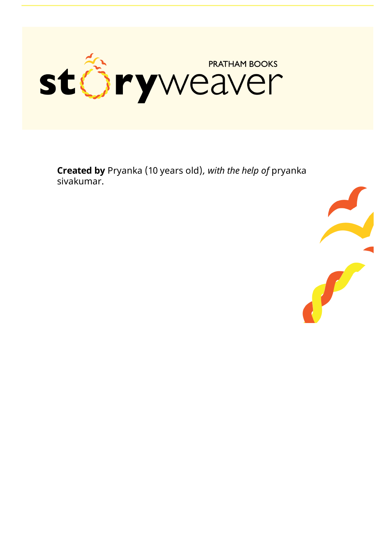

**Created by** Pryanka (10 years old), with the help of pryanka sivakumar.

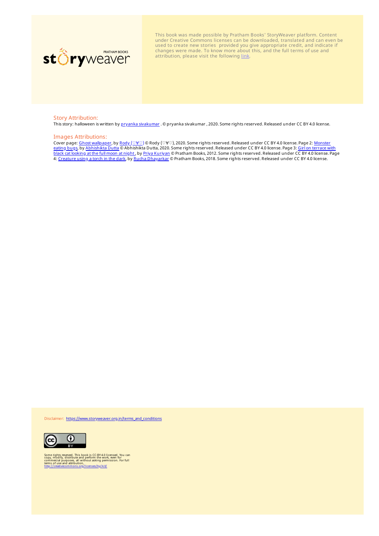

This book was made possible by Pratham Books' StoryWeaver platform. Content under Creative Commons licenses can be downloaded, translated and can even be used to create new stories provided you give appropriate credit, and indicate if changes were made. To know more about this, and the full terms of use and attribution, please visit the following [link.](https://storyweaver.org.in/terms_and_conditions)

#### Story Attribution:

This story: halloween is written by pryanka [sivakumar](https://storyweaver.org.in/users/230620-pryanka-sivakumar) . © pryanka sivakumar , 2020. Some rights reserved. Released under CC BY 4.0 license.

#### Images Attributions:

Cover page: Ghost [wallpaper](https://storyweaver.org.in/illustrations/34736-ghost-wallpaper), by Rody ([♡∀♡](https://storyweaver.org.in/users/185789-rody)) © Rody (♡∀♡), 2020. Some rights reserved. Released under CC BY 4.0 license. Page 2: Monster eating bugs, by [Abhishikta](https://storyweaver.org.in/illustrations/22882-monster-eating-bugs) Dutta © Abhishikta Dutta, 2020. Some rights reserved. Released under CC BY 4.0 license. Page 3: Girl on terrace with black cat looking at the full moon at night, by Priya [Kuriyan](https://storyweaver.org.in/users/57-priya-kuriyan) © Pratham Books, 2012. Some rights reserved. Released under CC BY 4.0 license. Page 4: <u>[Creature](https://storyweaver.org.in/illustrations/20856-creature-using-a-torch-in-the-dark) using a torch in the dark</u>, by <u>Rucha [Dhayarkar](https://storyweaver.org.in/users/314-rucha-dhayarkar)</u> © Pratham Books, 2018. Some rights reserved. Released under CC BY 4.0 license.

Disclaimer: [https://www.storyweaver.org.in/terms\\_and\\_conditions](https://storyweaver.org.in/terms_and_conditions)



Some rights reserved. This book is CC-BY-4.0 licensed. You can<br>copy, modify, distribute and perform the work, even for<br>commercial purposes, all without asking permission. For full<br>terms of use and attribution,<br>http://creat